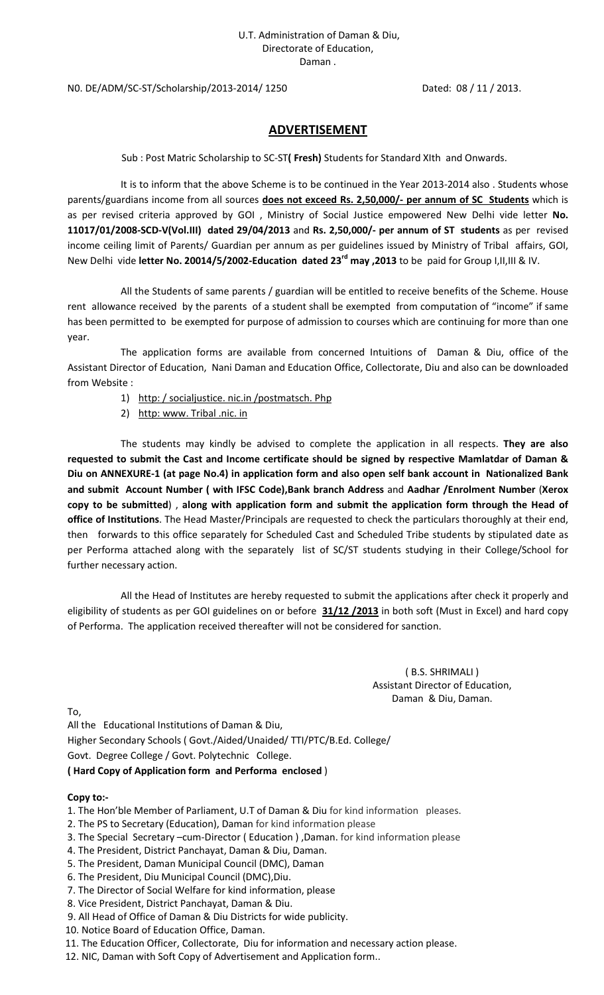N0. DE/ADM/SC-ST/Scholarship/2013-2014/ 1250 Dated: 08 / 11 / 2013.

## **ADVERTISEMENT**

Sub : Post Matric Scholarship to SC-ST**( Fresh)** Students for Standard XIth and Onwards.

It is to inform that the above Scheme is to be continued in the Year 2013-2014 also . Students whose parents/guardians income from all sources **does not exceed Rs. 2,50,000/- per annum of SC Students** which is as per revised criteria approved by GOI , Ministry of Social Justice empowered New Delhi vide letter **No. 11017/01/2008-SCD-V(Vol.III) dated 29/04/2013** and **Rs. 2,50,000/- per annum of ST students** as per revised income ceiling limit of Parents/ Guardian per annum as per guidelines issued by Ministry of Tribal affairs, GOI, New Delhi vide **letter No. 20014/5/2002-Education dated 23rd may ,2013** to be paid for Group I,II,III & IV.

All the Students of same parents / guardian will be entitled to receive benefits of the Scheme. House rent allowance received by the parents of a student shall be exempted from computation of "income" if same has been permitted to be exempted for purpose of admission to courses which are continuing for more than one year.

The application forms are available from concerned Intuitions of Daman & Diu, office of the Assistant Director of Education, Nani Daman and Education Office, Collectorate, Diu and also can be downloaded from Website :

- 1) http: / socialjustice. nic.in /postmatsch. Php
- 2) http: www. Tribal .nic. in

The students may kindly be advised to complete the application in all respects. **They are also requested to submit the Cast and Income certificate should be signed by respective Mamlatdar of Daman & Diu on ANNEXURE-1 (at page No.4) in application form and also open self bank account in Nationalized Bank and submit Account Number ( with IFSC Code),Bank branch Address** and **Aadhar /Enrolment Number** (**Xerox copy to be submitted**) , **along with application form and submit the application form through the Head of office of Institutions**. The Head Master/Principals are requested to check the particulars thoroughly at their end, then forwards to this office separately for Scheduled Cast and Scheduled Tribe students by stipulated date as per Performa attached along with the separately list of SC/ST students studying in their College/School for further necessary action.

All the Head of Institutes are hereby requested to submit the applications after check it properly and eligibility of students as per GOI guidelines on or before **31/12 /2013** in both soft (Must in Excel) and hard copy of Performa. The application received thereafter will not be considered for sanction.

> ( B.S. SHRIMALI ) Assistant Director of Education, Daman & Diu, Daman.

To,

All the Educational Institutions of Daman & Diu, Higher Secondary Schools ( Govt./Aided/Unaided/ TTI/PTC/B.Ed. College/ Govt. Degree College / Govt. Polytechnic College. **( Hard Copy of Application form and Performa enclosed** )

## **Copy to:-**

- 1. The Hon'ble Member of Parliament, U.T of Daman & Diu for kind information pleases.
- 2. The PS to Secretary (Education), Daman for kind information please
- 3. The Special Secretary –cum-Director ( Education ) ,Daman. for kind information please
- 4. The President, District Panchayat, Daman & Diu, Daman.
- 5. The President, Daman Municipal Council (DMC), Daman
- 6. The President, Diu Municipal Council (DMC),Diu.
- 7. The Director of Social Welfare for kind information, please
- 8. Vice President, District Panchayat, Daman & Diu.
- 9. All Head of Office of Daman & Diu Districts for wide publicity.
- 10. Notice Board of Education Office, Daman.
- 11. The Education Officer, Collectorate, Diu for information and necessary action please.
- 12. NIC, Daman with Soft Copy of Advertisement and Application form..